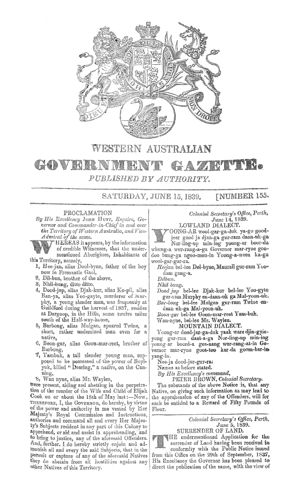

## WESTERN AUSTRALIAN

## GOVRRIN

PUBLISHED BY AUTHORITY.

**[NUMBER 155.** SATURDAY, JUNE 15, 1839.

PROCLAMATION

By His Excellency JOHN HUTT, Esquire, Governor and Commander in-Chief in and over the Territory of Western Australia, and Vice-<br>Admiral of the same.

 $\lq$  HEREAS it appears, by the information of credible Witnesses, that the undermentioned Aborigines, Inhabitants of

- this Territory, namely, 1, Hee-jan, alias Dool-byne, father of the boy now in Fremantle Gaol,
	- 2, Dil-bun, brother of the above,
	- 3, Nhil-bung, ditto ditto,
	- 4, Dood-jup, alias Djak-kur, alias Ko-pil, alias Ban-ya, alias Yoo-gayte, murderer of Murphy, a young slender man, was frequently at Guildford during the harvest of 1837, resides at Dargoop, in the Hills, some twelve miles<br>south of the Half-way-house,
	- 5, Barbong, alias Mulgan, speared Twine, a short, rather undersized man even for a native,
	- 6, Boon-gar, alias Goon-mar-reet, brother of Barbong,
	- 7, Yambuk, a tall slender young man, supposed to be possessed of the power of Boyl-<br>yuk, killed "Deering," a native, on the Canning,
	- 8, Wan nyne, alias Mr. Waylen,

were present, aiding and abetting in the perpetration of the murder of the Wife and Child of Elijah Cook on or about the 18th of May last:-Now, THEREFORE, I, the GOVERNOR, do hereby, by virtue of the power and authority in me vested by Pler Majesty's Royal Commission and Instructions, authorise and command all and every Her Majesty's Subjects resident in any part of this Colony to apprehend, or aid and assist in apprehending, and to bring to justice, any of the aforesaid Offenders. And, further, I do hereby atrictly enjoin and admonish all and every the said Subjects, that in the Pursuit or capture of any of the aforesaid Natives they do abstain from all hostilities against any other Natives of this Territory.

Colonial Secretary's Office, Perth, June 14, 1839.

LOWLAND DIALECT. OONG-AR wool-gar-ga-duk ya-go goodjeer good ja djan-ga gur-ram daan-uk-ga

Nor-ling-up min-ing young-ar boor-da whung-a wur-rang-a-ga Governor mar-ryne goodoo bung-ga ngoo-mon-in Yoong-a-ween ka-ga wool-gar-gur-ra.

Heejan bel-lee Dol-byne, Manrall gur-ram Yoo~ dam gang-a.

Dilbun.

Nhil bung.

Dood  $iw$  bel-lee Diak-kur bel-lee Yoo-gyte gur-ram Murphy en-daan-uk ga Mal-yoon-uk.

Bar-bong bel-lee Mulgan gur-ram Twine endaan uk-ga Mal-yoon-uk.

Boon-gar bel-lee Goon-mar-reet Yam-buk.

Wan-nyne, bel-lee Mr. Waylen.

MOUNTAIN DIALECT.

Yoong-ar dood-jar-ga-duk yaak ware djin-gyleyong gur-ram daat a-ga Nor-ling-up min-ing young ar boord-a gee-nang wur-rang-at-in Go-<br>vernor mar-ryne goot-too kar-da goom-bar-in yang-in.

Nee-ja dood-jur-gur-ra:

Names as before stated.

By His Excellency's command,

PETER BROWN, Colonial Secretary.

The substance of the above Notice is, that any Native, on giving such information as may lead to the apprehension of any of the Offenders, will for each be entitled to a Reward of Fifty Pounds of Flour.

> Colonial Secretary's Office, Perth, June 5, 1839.



HE undermentioned Application for the surrender of Land having been received in<br>conformity with the Public Notice issued

from this Office on the 29th of September, 1837, His Excellency the Governor has been pleased to direct the publication of the same, with the view of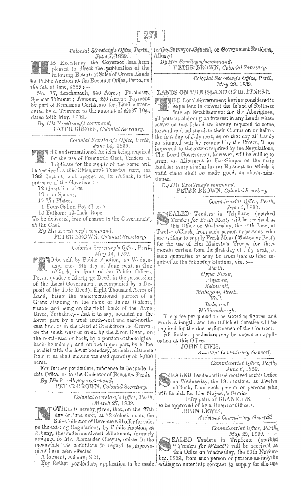Colonial Secretary's Office, Perth,



IS Excellency the Governor has been pleased to direct the publication of the

following Return of Sales of Crown Lands by Public Auction at the Revenue Office, Perth, on the 5th of June, 1839:-

No. 17, Leschenault, 640 Acres; Purchaser, Spencer Trimmer; Amount, 320 Acres; Payment by part of Remission Certificate for Land surrendered by S. Trimmer to the amount of £637 10s., dated 24th May, 1839.

By His Excellency's command,

PETER BROWN, Colonial Secretary.

Colonial Secretary's Office, Perth, June 13, 1839.

UHE undermentioned. Articles being required for the use of Fremantle Gaol, Tenders in

Triplicate for the supply of the same will be received at this Office until Tuesday next, the 18th Instant, and opened at 12 o'Clock, in the presence of the Governor :-

12 Quart Tin Pots.<br>12 Iron Spoons.<br>12 Tin Plates.

1 Four-Gallon Pot (Iron.)

10 Fathoms 11. Inch Rope.

To be delivered, free of charge to the Government, at the Gaol.

By His Excellency's command, PETER BROWN, Colonial Secretary.

> Colonial Secretary's Office, Perth, May 14, 1839.

No be sold by Public Auction, on Wednesday, the 19th day of June next, at One o'Clock, in front of the Public Offices, Perth, (under a Mortgage Deed, in the possession<br>of the Local Government, accompanied by a Deposit of the Title Deed), Eight Thousand Acres of Land, being the undermentioned portion of a Grant standing in the name of James Walcott, situate and being on the right bank of the Avon River, Yorkshire,-that is to say, bounded on the lower part by a west south-west and east-northeast line, as in the Deed of Grant from the Crown; on the south west or front, by the Avon River; on the north-east or back, by a portion of the original back boundary; and on the upper part, by a line parallel with the lower boundary, at such a distance from it as shall include the said quantity of 8,000 acres.

For further particulars, reference to be made to this Office, or to the Collector of Revenue, Perth.

By His Lxcellency's command, PETER BROWN, Colonial Secretary.

> Colonial Secretary's Office, Perth, March 27, 1839.

OTICE is hereby given, that, on the 27th day of June next, at 12 o'clock noon, the Sub-Collector of Revenue will offer for sale, on the existing Regulations, by Public Auction, at Albany, the undermentioned Allotment, formerly assigned to Mr. Alexander Cheyne, unless in the meanwhile the conditions in regard to improvement have been effected :-

Allotment, Albany, S.21.

For further particulars, application to be made.

to the Surveyor-General, or Government Resident, Albany:

By His Excellency's command, PETER BROWN, Colonial Secretary.

> Colonial Secretary's Office, Perth, May 29, 1839.

LANDS ON THE ISLAND OF ROTTNEST.

**WHE Local Government having considered it** expedient to convert the Island of Rottnest

into an Establishment for the Aborigines. all persons claiming an interest in any Lands whatsoever on that Island are kereby required to come forward and substantiate their Claims on or before the first day of July next, as on that day all Lands so situated will be resumed by the Crown, if not improved to the extent required by the Regulations. The Local Government, however, will be willing to grant an Allotment in Fee-Simple on the main land for every similar lot on Rottnest to which a valid claim shall be made good, as above-mentioned.

By His Excellency's command, PETER BROWN, Colonial Secretary.

Commissariat Office, Perth, June 6, 1839.

(EALED Tenders in Triplicate (marked Tenders for Fresh Meat) will be received at this Office on Wednesday, the 19th June, at Twelve o'Clock, from such person or persons who are willing to supply Fresh Meat (Mutton or Beef) months certain from the first day of July next, in such quantities as may be from time to time required at the following Stations, viz. :-

 $Perth_2$ Upper Swan, Pinjarra, Kelmscott, Mahogany Creek, York, Dale, and Williamsburgh.

The price per pound to be stated in figures and words at length, and two sufficient Sureties will be required for the due performance of the Contract.

All further particulars may be known on applieation at this Office.

JOHN LEWIS, Assistant Commissary General.

> Commissariut Office, Perth, June 6, 1839.

YEALED Tenders will be received at this Office on Wednesday, the 19th instant, at Twelve o'Clock, from such person or persons who will furnish for Her Majesty's Service

Fifty pairs of BLANKETS,

to be approved of by a Board of Officers. JOHN LEWIS,

Assistant Commissary Generali.

Commissariat Office, Perth, May 22, 1839. NEALED Tenders in Triplicate (marked "Tenders for Wheat") will be received at this Office on Wednesday, the 20th Novem-

ber, 1839, from such person or persons as may be willing to enter into contract to supply for the use.